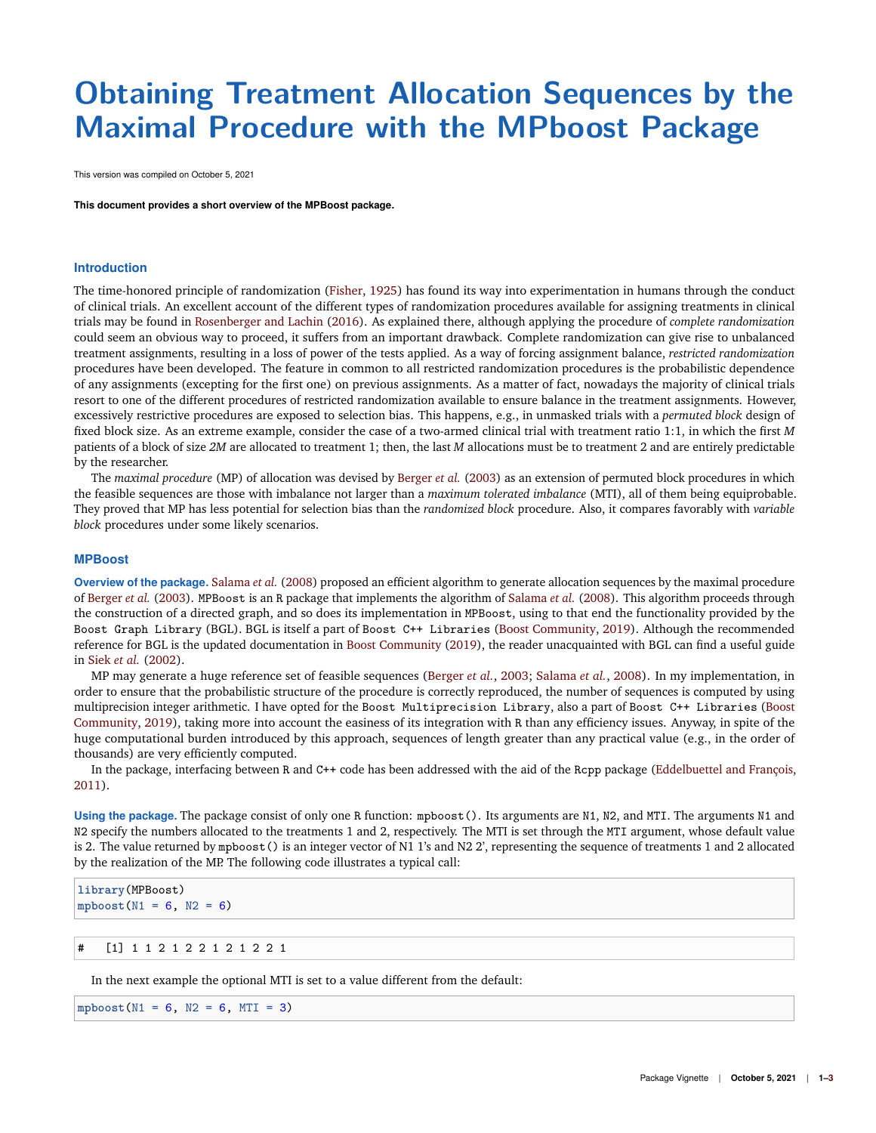## **Obtaining Treatment Allocation Sequences by the Maximal Procedure with the MPboost Package**

This version was compiled on October 5, 2021

**This document provides a short overview of the MPBoost package.**

## **Introduction**

The time-honored principle of randomization [\(Fisher,](#page-2-0) [1925\)](#page-2-0) has found its way into experimentation in humans through the conduct of clinical trials. An excellent account of the different types of randomization procedures available for assigning treatments in clinical trials may be found in [Rosenberger and Lachin](#page-2-1) [\(2016\)](#page-2-1). As explained there, although applying the procedure of *complete randomization* could seem an obvious way to proceed, it suffers from an important drawback. Complete randomization can give rise to unbalanced treatment assignments, resulting in a loss of power of the tests applied. As a way of forcing assignment balance, *restricted randomization* procedures have been developed. The feature in common to all restricted randomization procedures is the probabilistic dependence of any assignments (excepting for the first one) on previous assignments. As a matter of fact, nowadays the majority of clinical trials resort to one of the different procedures of restricted randomization available to ensure balance in the treatment assignments. However, excessively restrictive procedures are exposed to selection bias. This happens, e.g., in unmasked trials with a *permuted block* design of fixed block size. As an extreme example, consider the case of a two-armed clinical trial with treatment ratio 1:1, in which the first *M* patients of a block of size *2M* are allocated to treatment 1; then, the last *M* allocations must be to treatment 2 and are entirely predictable by the researcher.

The *maximal procedure* (MP) of allocation was devised by [Berger](#page-2-2) *et al.* [\(2003\)](#page-2-2) as an extension of permuted block procedures in which the feasible sequences are those with imbalance not larger than a *maximum tolerated imbalance* (MTI), all of them being equiprobable. They proved that MP has less potential for selection bias than the *randomized block* procedure. Also, it compares favorably with *variable block* procedures under some likely scenarios.

## **MPBoost**

**Overview of the package.** [Salama](#page-2-3) *et al.* [\(2008\)](#page-2-3) proposed an efficient algorithm to generate allocation sequences by the maximal procedure of [Berger](#page-2-2) *et al.* [\(2003\)](#page-2-2). MPBoost is an R package that implements the algorithm of [Salama](#page-2-3) *et al.* [\(2008\)](#page-2-3). This algorithm proceeds through the construction of a directed graph, and so does its implementation in MPBoost, using to that end the functionality provided by the Boost Graph Library (BGL). BGL is itself a part of Boost C++ Libraries [\(Boost Community,](#page-2-4) [2019\)](#page-2-4). Although the recommended reference for BGL is the updated documentation in [Boost Community](#page-2-4) [\(2019\)](#page-2-4), the reader unacquainted with BGL can find a useful guide in Siek *[et al.](#page-2-5)* [\(2002\)](#page-2-5).

MP may generate a huge reference set of feasible sequences [\(Berger](#page-2-2) *et al.*, [2003;](#page-2-2) [Salama](#page-2-3) *et al.*, [2008\)](#page-2-3). In my implementation, in order to ensure that the probabilistic structure of the procedure is correctly reproduced, the number of sequences is computed by using multiprecision integer arithmetic. I have opted for the Boost Multiprecision Library, also a part of Boost C++ Libraries [\(Boost](#page-2-4) [Community,](#page-2-4) [2019\)](#page-2-4), taking more into account the easiness of its integration with R than any efficiency issues. Anyway, in spite of the huge computational burden introduced by this approach, sequences of length greater than any practical value (e.g., in the order of thousands) are very efficiently computed.

In the package, interfacing between R and C++ code has been addressed with the aid of the Rcpp package [\(Eddelbuettel and François,](#page-2-6) [2011\)](#page-2-6).

**Using the package.** The package consist of only one R function: mpboost(). Its arguments are N1, N2, and MTI. The arguments N1 and N2 specify the numbers allocated to the treatments 1 and 2, respectively. The MTI is set through the MTI argument, whose default value is 2. The value returned by mpboost() is an integer vector of N1 1's and N2 2', representing the sequence of treatments 1 and 2 allocated by the realization of the MP. The following code illustrates a typical call:

```
library(MPBoost)
mpboost(N1 = 6, N2 = 6)
```

```
# [1] 1 1 2 1 2 2 1 2 1 2 2 1
```
In the next example the optional MTI is set to a value different from the default:

**mpboost**(N1 = 6, N2 = 6, MTI = 3)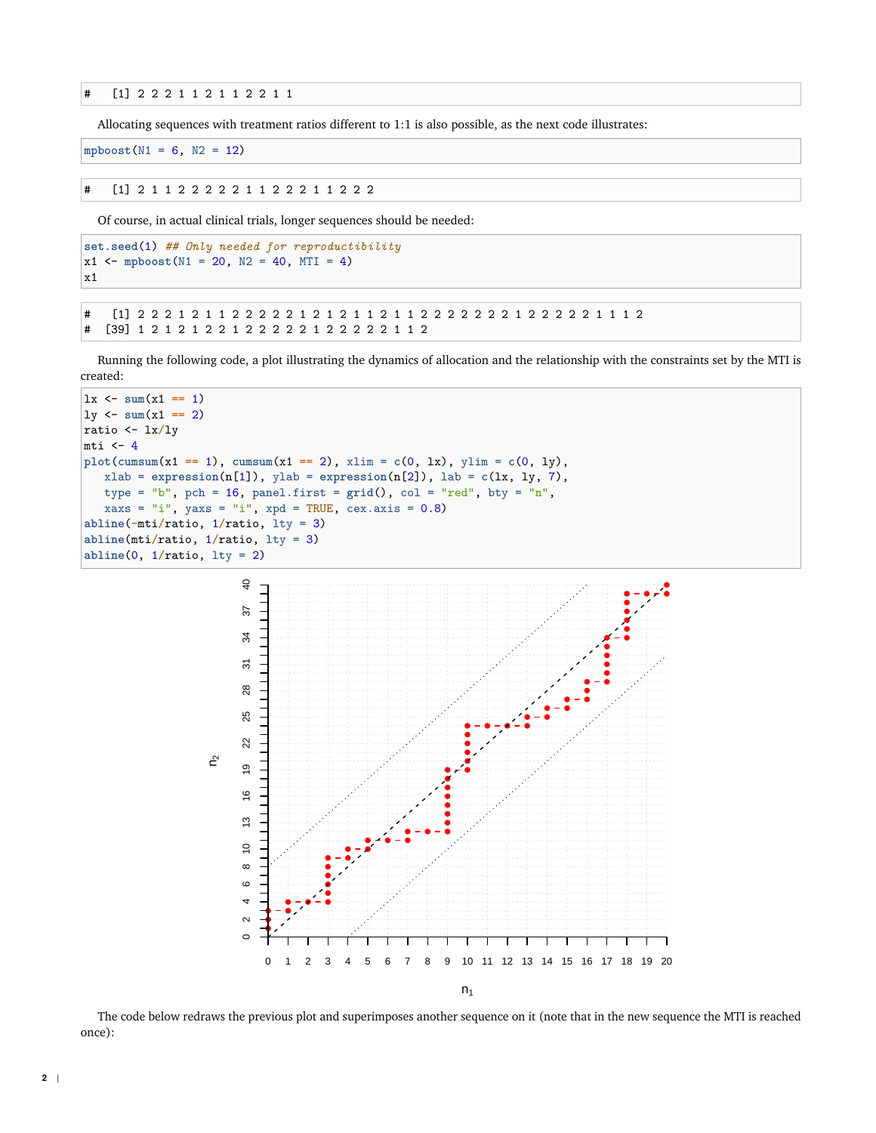# [1] 2 2 2 1 1 2 1 1 2 2 1 1

Allocating sequences with treatment ratios different to 1:1 is also possible, as the next code illustrates:

```
mpboost(N1 = 6, N2 = 12)
```
# [1] 2 1 1 2 2 2 2 2 1 1 2 2 2 1 1 2 2 2

Of course, in actual clinical trials, longer sequences should be needed:

```
set.seed(1) ## Only needed for reproductibility
x1 <- mpboost(N1 = 20, N2 = 40, MTI = 4)
x1
```
# [1] 2 2 2 1 2 1 1 2 2 2 2 2 1 2 1 2 1 1 2 1 1 2 2 2 2 2 2 2 1 2 2 2 2 2 1 1 1 2 # [39] 1 2 1 2 1 2 2 1 2 2 2 2 2 1 2 2 2 2 2 1 1 2

Running the following code, a plot illustrating the dynamics of allocation and the relationship with the constraints set by the MTI is created:



 $n_1$ 

The code below redraws the previous plot and superimposes another sequence on it (note that in the new sequence the MTI is reached once):